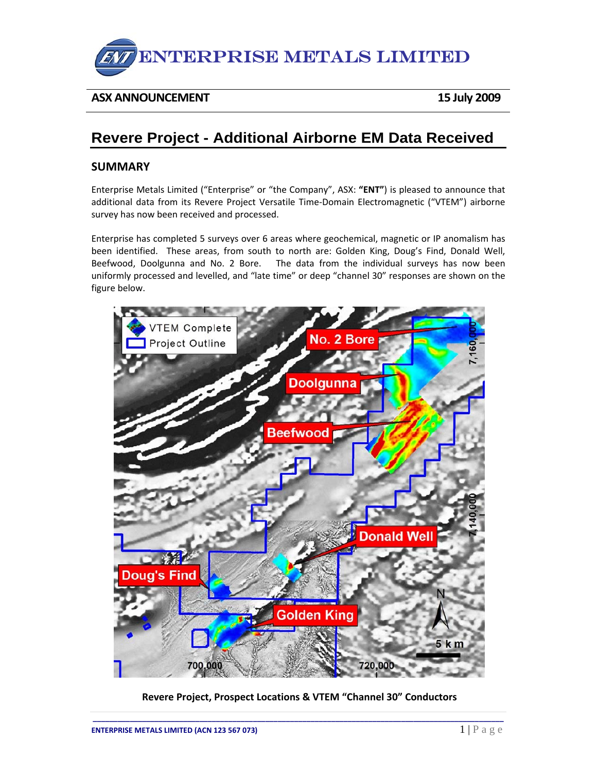

## **ASX ANNOUNCEMENT 15 July 2009**

# **Revere Project - Additional Airborne EM Data Received**

### **SUMMARY**

Enterprise Metals Limited ("Enterprise" or "the Company", ASX: **"ENT"**) is pleased to announce that additional data from its Revere Project Versatile Time‐Domain Electromagnetic ("VTEM") airborne survey has now been received and processed.

Enterprise has completed 5 surveys over 6 areas where geochemical, magnetic or IP anomalism has been identified. These areas, from south to north are: Golden King, Doug's Find, Donald Well, Beefwood, Doolgunna and No. 2 Bore. The data from the individual surveys has now been uniformly processed and levelled, and "late time" or deep "channel 30" responses are shown on the figure below.



**Revere Project, Prospect Locations & VTEM "Channel 30" Conductors**

**\_\_\_\_\_\_\_\_\_\_\_\_\_\_\_\_\_\_\_\_\_\_\_\_\_\_\_\_\_\_\_\_\_\_\_\_\_\_\_\_\_\_\_\_\_\_\_\_\_\_\_\_\_\_\_\_\_\_\_\_\_\_\_\_\_\_\_\_\_\_\_\_\_\_\_\_\_\_\_\_\_\_\_\_\_\_\_\_\_\_\_\_\_\_\_\_\_\_\_\_**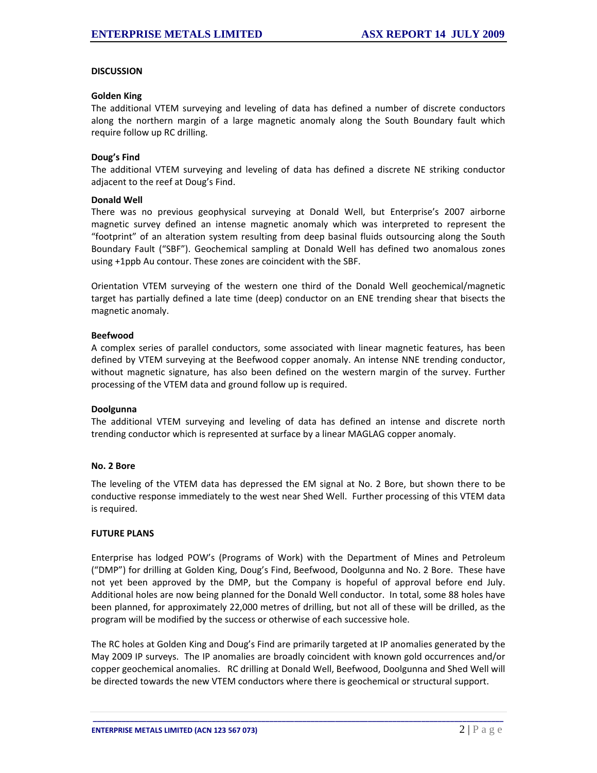#### **DISCUSSION**

#### **Golden King**

The additional VTEM surveying and leveling of data has defined a number of discrete conductors along the northern margin of a large magnetic anomaly along the South Boundary fault which require follow up RC drilling.

#### **Doug's Find**

The additional VTEM surveying and leveling of data has defined a discrete NE striking conductor adjacent to the reef at Doug's Find.

#### **Donald Well**

There was no previous geophysical surveying at Donald Well, but Enterprise's 2007 airborne magnetic survey defined an intense magnetic anomaly which was interpreted to represent the "footprint" of an alteration system resulting from deep basinal fluids outsourcing along the South Boundary Fault ("SBF"). Geochemical sampling at Donald Well has defined two anomalous zones using +1ppb Au contour. These zones are coincident with the SBF.

Orientation VTEM surveying of the western one third of the Donald Well geochemical/magnetic target has partially defined a late time (deep) conductor on an ENE trending shear that bisects the magnetic anomaly.

#### **Beefwood**

A complex series of parallel conductors, some associated with linear magnetic features, has been defined by VTEM surveying at the Beefwood copper anomaly. An intense NNE trending conductor, without magnetic signature, has also been defined on the western margin of the survey. Further processing of the VTEM data and ground follow up is required.

#### **Doolgunna**

The additional VTEM surveying and leveling of data has defined an intense and discrete north trending conductor which is represented at surface by a linear MAGLAG copper anomaly.

#### **No. 2 Bore**

The leveling of the VTEM data has depressed the EM signal at No. 2 Bore, but shown there to be conductive response immediately to the west near Shed Well. Further processing of this VTEM data is required.

#### **FUTURE PLANS**

Enterprise has lodged POW's (Programs of Work) with the Department of Mines and Petroleum ("DMP") for drilling at Golden King, Doug's Find, Beefwood, Doolgunna and No. 2 Bore. These have not yet been approved by the DMP, but the Company is hopeful of approval before end July. Additional holes are now being planned for the Donald Well conductor. In total, some 88 holes have been planned, for approximately 22,000 metres of drilling, but not all of these will be drilled, as the program will be modified by the success or otherwise of each successive hole.

The RC holes at Golden King and Doug's Find are primarily targeted at IP anomalies generated by the May 2009 IP surveys. The IP anomalies are broadly coincident with known gold occurrences and/or copper geochemical anomalies. RC drilling at Donald Well, Beefwood, Doolgunna and Shed Well will be directed towards the new VTEM conductors where there is geochemical or structural support.

**\_\_\_\_\_\_\_\_\_\_\_\_\_\_\_\_\_\_\_\_\_\_\_\_\_\_\_\_\_\_\_\_\_\_\_\_\_\_\_\_\_\_\_\_\_\_\_\_\_\_\_\_\_\_\_\_\_\_\_\_\_\_\_\_\_\_\_\_\_\_\_\_\_\_\_\_\_\_\_\_\_\_\_\_\_\_\_\_\_\_\_\_\_\_\_\_\_\_\_\_**